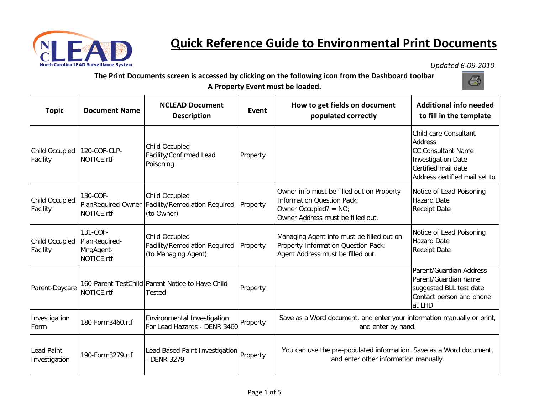

## **Quick Reference Guide to Environmental Print Documents**

*Updated 6-09-2010* 

**The Print Documents screen is accessed by clicking on the following icon from the Dashboard toolbar A Property Event must be loaded.**



| <b>Topic</b>                | <b>Document Name</b>                                 | <b>NCLEAD Document</b><br><b>Description</b>                                            | Event    | How to get fields on document<br>populated correctly                                                                                            | <b>Additional info needed</b><br>to fill in the template                                                                                                  |
|-----------------------------|------------------------------------------------------|-----------------------------------------------------------------------------------------|----------|-------------------------------------------------------------------------------------------------------------------------------------------------|-----------------------------------------------------------------------------------------------------------------------------------------------------------|
| Child Occupied<br>Facility  | 120-COF-CLP-<br>NOTICE.rtf                           | Child Occupied<br>Facility/Confirmed Lead<br>Poisoning                                  | Property |                                                                                                                                                 | Child care Consultant<br><b>Address</b><br><b>CC Consultant Name</b><br><b>Investigation Date</b><br>Certified mail date<br>Address certified mail set to |
| Child Occupied<br>Facility  | 130-COF-<br>NOTICE.rtf                               | <b>Child Occupied</b><br>PlanRequired-Owner-Facility/Remediation Required<br>(to Owner) | Property | Owner info must be filled out on Property<br><b>Information Question Pack:</b><br>Owner Occupied? = $NO$ ;<br>Owner Address must be filled out. | Notice of Lead Poisoning<br><b>Hazard Date</b><br><b>Receipt Date</b>                                                                                     |
| Child Occupied<br>Facility  | 131-COF-<br>PlanRequired-<br>MngAgent-<br>NOTICE.rtf | Child Occupied<br><b>Facility/Remediation Required</b><br>(to Managing Agent)           | Property | Managing Agent info must be filled out on<br>Property Information Question Pack:<br>Agent Address must be filled out.                           | Notice of Lead Poisoning<br><b>Hazard Date</b><br><b>Receipt Date</b>                                                                                     |
| Parent-Daycare              | NOTICE.rtf                                           | 160-Parent-TestChild-Parent Notice to Have Child<br>Tested                              | Property |                                                                                                                                                 | Parent/Guardian Address<br>Parent/Guardian name<br>suggested BLL test date<br>Contact person and phone<br>at LHD                                          |
| Investigation<br>Form       | 180-Form3460.rtf                                     | Environmental Investigation<br>For Lead Hazards - DENR 3460                             | Property | Save as a Word document, and enter your information manually or print,<br>and enter by hand.                                                    |                                                                                                                                                           |
| Lead Paint<br>Investigation | 190-Form3279.rtf                                     | Lead Based Paint Investigation<br><b>DENR 3279</b>                                      | Property | You can use the pre-populated information. Save as a Word document,<br>and enter other information manually.                                    |                                                                                                                                                           |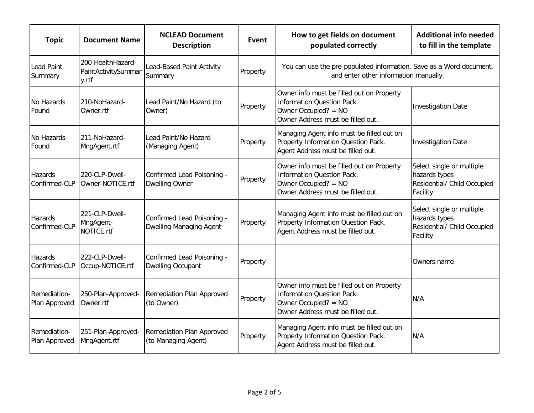| <b>Topic</b>                    | <b>Document Name</b>                              | <b>NCLEAD Document</b><br><b>Description</b>                 | Event    | How to get fields on document<br>populated correctly                                                                                        | <b>Additional info needed</b><br>to fill in the template                              |
|---------------------------------|---------------------------------------------------|--------------------------------------------------------------|----------|---------------------------------------------------------------------------------------------------------------------------------------------|---------------------------------------------------------------------------------------|
| <b>Lead Paint</b><br>Summary    | 200-HealthHazard-<br>PaintActivitySummar<br>y.rtf | Lead-Based Paint Activity<br>Summary                         | Property | You can use the pre-populated information. Save as a Word document,<br>and enter other information manually.                                |                                                                                       |
| No Hazards<br>Found             | 210-NoHazard-<br>Owner.rtf                        | Lead Paint/No Hazard (to<br>Owner)                           | Property | Owner info must be filled out on Property<br><b>Information Question Pack.</b><br>Owner Occupied? = NO<br>Owner Address must be filled out. | <b>Investigation Date</b>                                                             |
| No Hazards<br>Found             | 211-NoHazard-<br>MngAgent.rtf                     | Lead Paint/No Hazard<br>(Managing Agent)                     | Property | Managing Agent info must be filled out on<br>Property Information Question Pack.<br>Agent Address must be filled out.                       | <b>Investigation Date</b>                                                             |
| <b>Hazards</b><br>Confirmed-CLP | 220-CLP-Dwell-<br>Owner-NOTICE.rtf                | Confirmed Lead Poisoning -<br><b>Dwelling Owner</b>          | Property | Owner info must be filled out on Property<br><b>Information Question Pack.</b><br>Owner Occupied? = NO<br>Owner Address must be filled out. | Select single or multiple<br>hazards types<br>Residential/ Child Occupied<br>Facility |
| Hazards<br>Confirmed-CLP        | 221-CLP-Dwell-<br>MngAgent-<br>NOTICE.rtf         | Confirmed Lead Poisoning -<br><b>Dwelling Managing Agent</b> | Property | Managing Agent info must be filled out on<br>Property Information Question Pack.<br>Agent Address must be filled out.                       | Select single or multiple<br>hazards types<br>Residential/ Child Occupied<br>Facility |
| Hazards<br>Confirmed-CLP        | 222-CLP-Dwell-<br>Occup-NOTICE.rtf                | Confirmed Lead Poisoning -<br><b>Dwelling Occupant</b>       | Property |                                                                                                                                             | Owners name                                                                           |
| Remediation-<br>Plan Approved   | 250-Plan-Approved-<br>Owner.rtf                   | Remediation Plan Approved<br>(to Owner)                      | Property | Owner info must be filled out on Property<br><b>Information Question Pack.</b><br>Owner Occupied? = NO<br>Owner Address must be filled out. | N/A                                                                                   |
| Remediation-<br>Plan Approved   | 251-Plan-Approved-<br>MngAgent.rtf                | Remediation Plan Approved<br>(to Managing Agent)             | Property | Managing Agent info must be filled out on<br>Property Information Question Pack.<br>Agent Address must be filled out.                       | N/A                                                                                   |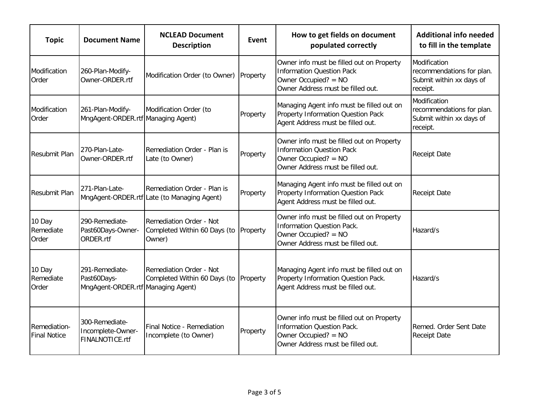| <b>Topic</b>                        | <b>Document Name</b>                                                | <b>NCLEAD Document</b><br><b>Description</b>                               | Event    | How to get fields on document<br>populated correctly                                                                                        | <b>Additional info needed</b><br>to fill in the template                          |
|-------------------------------------|---------------------------------------------------------------------|----------------------------------------------------------------------------|----------|---------------------------------------------------------------------------------------------------------------------------------------------|-----------------------------------------------------------------------------------|
| Modification<br>Order               | 260-Plan-Modify-<br>Owner-ORDER.rtf                                 | Modification Order (to Owner) Property                                     |          | Owner info must be filled out on Property<br><b>Information Question Pack</b><br>Owner Occupied? = NO<br>Owner Address must be filled out.  | Modification<br>recommendations for plan.<br>Submit within xx days of<br>receipt. |
| Modification<br>Order               | 261-Plan-Modify-<br>MngAgent-ORDER.rtf Managing Agent)              | Modification Order (to                                                     | Property | Managing Agent info must be filled out on<br>Property Information Question Pack<br>Agent Address must be filled out.                        | Modification<br>recommendations for plan.<br>Submit within xx days of<br>receipt. |
| Resubmit Plan                       | 270-Plan-Late-<br>Owner-ORDER.rtf                                   | Remediation Order - Plan is<br>Late (to Owner)                             | Property | Owner info must be filled out on Property<br><b>Information Question Pack</b><br>Owner Occupied? = NO<br>Owner Address must be filled out.  | <b>Receipt Date</b>                                                               |
| Resubmit Plan                       | 271-Plan-Late-                                                      | Remediation Order - Plan is<br>MngAgent-ORDER.rtf Late (to Managing Agent) | Property | Managing Agent info must be filled out on<br>Property Information Question Pack<br>Agent Address must be filled out.                        | <b>Receipt Date</b>                                                               |
| 10 Day<br>Remediate<br>Order        | 290-Remediate-<br>Past60Days-Owner-<br>ORDER.rtf                    | Remediation Order - Not<br>Completed Within 60 Days (to<br>Owner)          | Property | Owner info must be filled out on Property<br><b>Information Question Pack.</b><br>Owner Occupied? = NO<br>Owner Address must be filled out. | Hazard/s                                                                          |
| 10 Day<br>Remediate<br>Order        | 291-Remediate-<br>Past60Days-<br>MngAgent-ORDER.rtf Managing Agent) | Remediation Order - Not<br>Completed Within 60 Days (to                    | Property | Managing Agent info must be filled out on<br>Property Information Question Pack.<br>Agent Address must be filled out.                       | Hazard/s                                                                          |
| Remediation-<br><b>Final Notice</b> | 300-Remediate-<br>Incomplete-Owner-<br>FINALNOTICE.rtf              | <b>Final Notice - Remediation</b><br>Incomplete (to Owner)                 | Property | Owner info must be filled out on Property<br><b>Information Question Pack.</b><br>Owner Occupied? = NO<br>Owner Address must be filled out. | Remed. Order Sent Date<br><b>Receipt Date</b>                                     |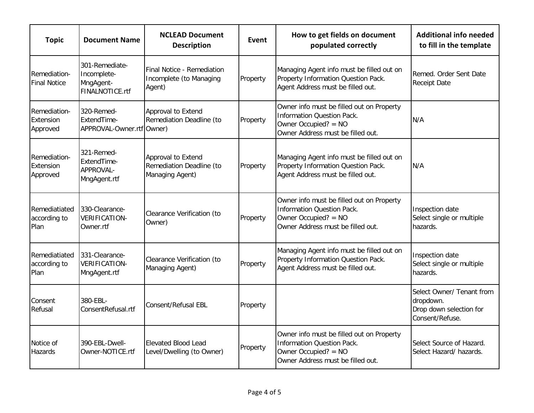| <b>Topic</b>                          | <b>Document Name</b>                                          | <b>NCLEAD Document</b><br><b>Description</b>                      | Event    | How to get fields on document<br>populated correctly                                                                                        | <b>Additional info needed</b><br>to fill in the template                             |
|---------------------------------------|---------------------------------------------------------------|-------------------------------------------------------------------|----------|---------------------------------------------------------------------------------------------------------------------------------------------|--------------------------------------------------------------------------------------|
| Remediation-<br><b>Final Notice</b>   | 301-Remediate-<br>Incomplete-<br>MngAgent-<br>FINALNOTICE.rtf | Final Notice - Remediation<br>Incomplete (to Managing<br>Agent)   | Property | Managing Agent info must be filled out on<br>Property Information Question Pack.<br>Agent Address must be filled out.                       | Remed. Order Sent Date<br><b>Receipt Date</b>                                        |
| Remediation-<br>Extension<br>Approved | 320-Remed-<br>ExtendTime-<br>APPROVAL-Owner.rtf Owner)        | Approval to Extend<br>Remediation Deadline (to                    | Property | Owner info must be filled out on Property<br><b>Information Question Pack.</b><br>Owner Occupied? = NO<br>Owner Address must be filled out. | N/A                                                                                  |
| Remediation-<br>Extension<br>Approved | 321-Remed-<br>ExtendTime-<br>APPROVAL-<br>MngAgent.rtf        | Approval to Extend<br>Remediation Deadline (to<br>Managing Agent) | Property | Managing Agent info must be filled out on<br>Property Information Question Pack.<br>Agent Address must be filled out.                       | N/A                                                                                  |
| Remediatiated<br>according to<br>Plan | 330-Clearance-<br>VERIFICATION-<br>Owner.rtf                  | Clearance Verification (to<br>Owner)                              | Property | Owner info must be filled out on Property<br><b>Information Question Pack.</b><br>Owner Occupied? = NO<br>Owner Address must be filled out. | Inspection date<br>Select single or multiple<br>hazards.                             |
| Remediatiated<br>according to<br>Plan | 331-Clearance-<br><b>VERIFICATION-</b><br>MngAgent.rtf        | Clearance Verification (to<br>Managing Agent)                     | Property | Managing Agent info must be filled out on<br>Property Information Question Pack.<br>Agent Address must be filled out.                       | Inspection date<br>Select single or multiple<br>hazards.                             |
| Consent<br>Refusal                    | 380-EBL-<br>ConsentRefusal.rtf                                | Consent/Refusal EBL                                               | Property |                                                                                                                                             | Select Owner/ Tenant from<br>dropdown.<br>Drop down selection for<br>Consent/Refuse. |
| Notice of<br><b>Hazards</b>           | 390-EBL-Dwell-<br>Owner-NOTICE.rtf                            | Elevated Blood Lead<br>Level/Dwelling (to Owner)                  | Property | Owner info must be filled out on Property<br><b>Information Question Pack.</b><br>Owner Occupied? = NO<br>Owner Address must be filled out. | Select Source of Hazard.<br>Select Hazard/ hazards.                                  |